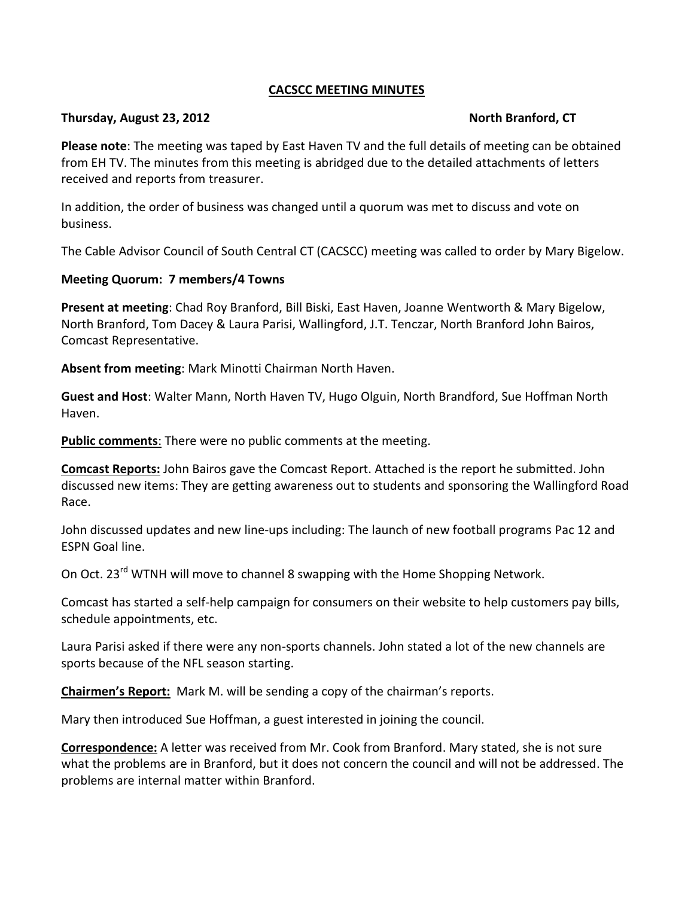## **CACSCC MEETING MINUTES**

#### **Thursday, August 23, 2012 North Branford, CT**

**Please note**: The meeting was taped by East Haven TV and the full details of meeting can be obtained from EH TV. The minutes from this meeting is abridged due to the detailed attachments of letters received and reports from treasurer.

In addition, the order of business was changed until a quorum was met to discuss and vote on business.

The Cable Advisor Council of South Central CT (CACSCC) meeting was called to order by Mary Bigelow.

# **Meeting Quorum: 7 members/4 Towns**

**Present at meeting**: Chad Roy Branford, Bill Biski, East Haven, Joanne Wentworth & Mary Bigelow, North Branford, Tom Dacey & Laura Parisi, Wallingford, J.T. Tenczar, North Branford John Bairos, Comcast Representative.

**Absent from meeting**: Mark Minotti Chairman North Haven.

**Guest and Host**: Walter Mann, North Haven TV, Hugo Olguin, North Brandford, Sue Hoffman North Haven.

**Public comments**: There were no public comments at the meeting.

**Comcast Reports:** John Bairos gave the Comcast Report. Attached is the report he submitted. John discussed new items: They are getting awareness out to students and sponsoring the Wallingford Road Race.

John discussed updates and new line-ups including: The launch of new football programs Pac 12 and ESPN Goal line.

On Oct. 23<sup>rd</sup> WTNH will move to channel 8 swapping with the Home Shopping Network.

Comcast has started a self-help campaign for consumers on their website to help customers pay bills, schedule appointments, etc.

Laura Parisi asked if there were any non-sports channels. John stated a lot of the new channels are sports because of the NFL season starting.

**Chairmen's Report:** Mark M. will be sending a copy of the chairman's reports.

Mary then introduced Sue Hoffman, a guest interested in joining the council.

**Correspondence:** A letter was received from Mr. Cook from Branford. Mary stated, she is not sure what the problems are in Branford, but it does not concern the council and will not be addressed. The problems are internal matter within Branford.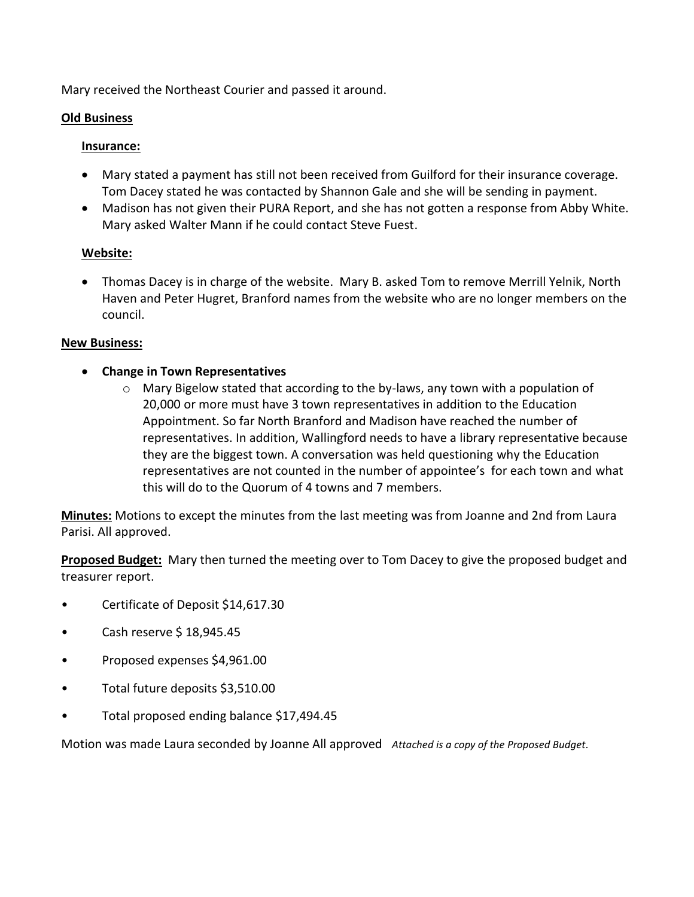Mary received the Northeast Courier and passed it around.

## **Old Business**

#### **Insurance:**

- Mary stated a payment has still not been received from Guilford for their insurance coverage. Tom Dacey stated he was contacted by Shannon Gale and she will be sending in payment.
- Madison has not given their PURA Report, and she has not gotten a response from Abby White. Mary asked Walter Mann if he could contact Steve Fuest.

## **Website:**

 Thomas Dacey is in charge of the website. Mary B. asked Tom to remove Merrill Yelnik, North Haven and Peter Hugret, Branford names from the website who are no longer members on the council.

## **New Business:**

- **Change in Town Representatives**
	- $\circ$  Mary Bigelow stated that according to the by-laws, any town with a population of 20,000 or more must have 3 town representatives in addition to the Education Appointment. So far North Branford and Madison have reached the number of representatives. In addition, Wallingford needs to have a library representative because they are the biggest town. A conversation was held questioning why the Education representatives are not counted in the number of appointee's for each town and what this will do to the Quorum of 4 towns and 7 members.

**Minutes:** Motions to except the minutes from the last meeting was from Joanne and 2nd from Laura Parisi. All approved.

**Proposed Budget:** Mary then turned the meeting over to Tom Dacey to give the proposed budget and treasurer report.

- Certificate of Deposit \$14,617.30
- Cash reserve \$ 18,945.45
- Proposed expenses \$4,961.00
- Total future deposits \$3,510.00
- Total proposed ending balance \$17,494.45

Motion was made Laura seconded by Joanne All approved *Attached is a copy of the Proposed Budget.*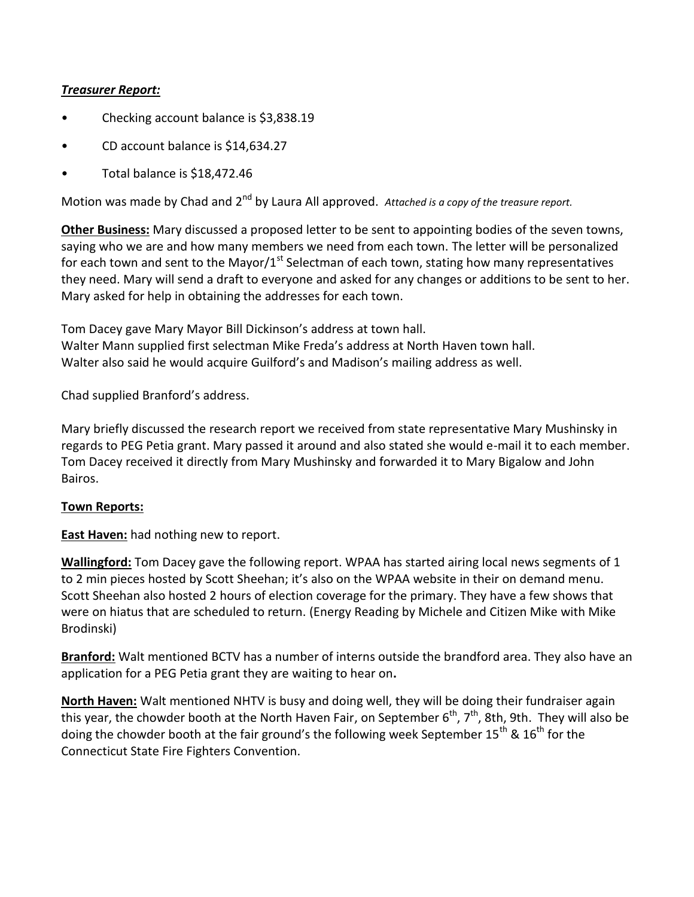# *Treasurer Report:*

- Checking account balance is \$3,838.19
- CD account balance is \$14,634.27
- Total balance is \$18,472.46

Motion was made by Chad and 2<sup>nd</sup> by Laura All approved. Attached is a copy of the treasure report.

**Other Business:** Mary discussed a proposed letter to be sent to appointing bodies of the seven towns, saying who we are and how many members we need from each town. The letter will be personalized for each town and sent to the Mayor/ $1<sup>st</sup>$  Selectman of each town, stating how many representatives they need. Mary will send a draft to everyone and asked for any changes or additions to be sent to her. Mary asked for help in obtaining the addresses for each town.

Tom Dacey gave Mary Mayor Bill Dickinson's address at town hall. Walter Mann supplied first selectman Mike Freda's address at North Haven town hall. Walter also said he would acquire Guilford's and Madison's mailing address as well.

Chad supplied Branford's address.

Mary briefly discussed the research report we received from state representative Mary Mushinsky in regards to PEG Petia grant. Mary passed it around and also stated she would e-mail it to each member. Tom Dacey received it directly from Mary Mushinsky and forwarded it to Mary Bigalow and John Bairos.

#### **Town Reports:**

**East Haven:** had nothing new to report.

**Wallingford:** Tom Dacey gave the following report. WPAA has started airing local news segments of 1 to 2 min pieces hosted by Scott Sheehan; it's also on the WPAA website in their on demand menu. Scott Sheehan also hosted 2 hours of election coverage for the primary. They have a few shows that were on hiatus that are scheduled to return. (Energy Reading by Michele and Citizen Mike with Mike Brodinski)

**Branford:** Walt mentioned BCTV has a number of interns outside the brandford area. They also have an application for a PEG Petia grant they are waiting to hear on**.**

**North Haven:** Walt mentioned NHTV is busy and doing well, they will be doing their fundraiser again this year, the chowder booth at the North Haven Fair, on September 6<sup>th</sup>, 7<sup>th</sup>, 8th, 9th. They will also be doing the chowder booth at the fair ground's the following week September 15<sup>th</sup> & 16<sup>th</sup> for the Connecticut State Fire Fighters Convention.